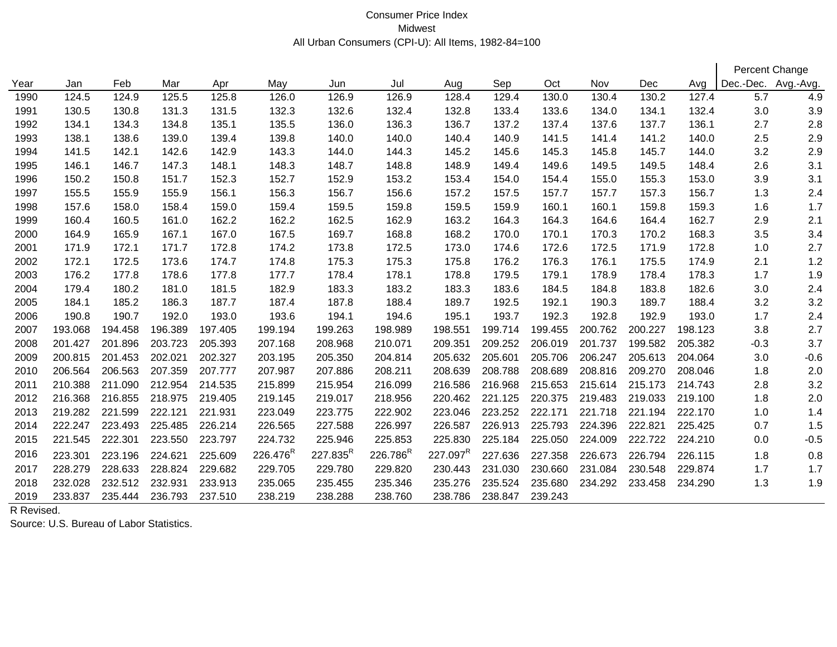## Consumer Price Index All Urban Consumers (CPI-U): All Items, 1982-84=100 Midwest

|      |         |         |         |         |                      |                      |                      |                      |         |         |         |         |         |                     | Percent Change |
|------|---------|---------|---------|---------|----------------------|----------------------|----------------------|----------------------|---------|---------|---------|---------|---------|---------------------|----------------|
| Year | Jan     | Feb     | Mar     | Apr     | May                  | Jun                  | Jul                  | Aug                  | Sep     | Oct     | Nov     | Dec     | Avg     | Dec.-Dec. Avg.-Avg. |                |
| 1990 | 124.5   | 124.9   | 125.5   | 125.8   | 126.0                | 126.9                | 126.9                | 128.4                | 129.4   | 130.0   | 130.4   | 130.2   | 127.4   | 5.7                 | 4.9            |
| 1991 | 130.5   | 130.8   | 131.3   | 131.5   | 132.3                | 132.6                | 132.4                | 132.8                | 133.4   | 133.6   | 134.0   | 134.1   | 132.4   | 3.0                 | 3.9            |
| 1992 | 134.1   | 134.3   | 134.8   | 135.1   | 135.5                | 136.0                | 136.3                | 136.7                | 137.2   | 137.4   | 137.6   | 137.7   | 136.1   | 2.7                 | 2.8            |
| 1993 | 138.1   | 138.6   | 139.0   | 139.4   | 139.8                | 140.0                | 140.0                | 140.4                | 140.9   | 141.5   | 141.4   | 141.2   | 140.0   | 2.5                 | 2.9            |
| 1994 | 141.5   | 142.1   | 142.6   | 142.9   | 143.3                | 144.0                | 144.3                | 145.2                | 145.6   | 145.3   | 145.8   | 145.7   | 144.0   | 3.2                 | 2.9            |
| 1995 | 146.1   | 146.7   | 147.3   | 148.1   | 148.3                | 148.7                | 148.8                | 148.9                | 149.4   | 149.6   | 149.5   | 149.5   | 148.4   | 2.6                 | 3.1            |
| 1996 | 150.2   | 150.8   | 151.7   | 152.3   | 152.7                | 152.9                | 153.2                | 153.4                | 154.0   | 154.4   | 155.0   | 155.3   | 153.0   | 3.9                 | 3.1            |
| 1997 | 155.5   | 155.9   | 155.9   | 156.1   | 156.3                | 156.7                | 156.6                | 157.2                | 157.5   | 157.7   | 157.7   | 157.3   | 156.7   | 1.3                 | 2.4            |
| 1998 | 157.6   | 158.0   | 158.4   | 159.0   | 159.4                | 159.5                | 159.8                | 159.5                | 159.9   | 160.1   | 160.1   | 159.8   | 159.3   | 1.6                 | 1.7            |
| 1999 | 160.4   | 160.5   | 161.0   | 162.2   | 162.2                | 162.5                | 162.9                | 163.2                | 164.3   | 164.3   | 164.6   | 164.4   | 162.7   | 2.9                 | 2.1            |
| 2000 | 164.9   | 165.9   | 167.1   | 167.0   | 167.5                | 169.7                | 168.8                | 168.2                | 170.0   | 170.1   | 170.3   | 170.2   | 168.3   | 3.5                 | 3.4            |
| 2001 | 171.9   | 172.1   | 171.7   | 172.8   | 174.2                | 173.8                | 172.5                | 173.0                | 174.6   | 172.6   | 172.5   | 171.9   | 172.8   | 1.0                 | 2.7            |
| 2002 | 172.1   | 172.5   | 173.6   | 174.7   | 174.8                | 175.3                | 175.3                | 175.8                | 176.2   | 176.3   | 176.1   | 175.5   | 174.9   | 2.1                 | 1.2            |
| 2003 | 176.2   | 177.8   | 178.6   | 177.8   | 177.7                | 178.4                | 178.1                | 178.8                | 179.5   | 179.1   | 178.9   | 178.4   | 178.3   | 1.7                 | 1.9            |
| 2004 | 179.4   | 180.2   | 181.0   | 181.5   | 182.9                | 183.3                | 183.2                | 183.3                | 183.6   | 184.5   | 184.8   | 183.8   | 182.6   | 3.0                 | 2.4            |
| 2005 | 184.1   | 185.2   | 186.3   | 187.7   | 187.4                | 187.8                | 188.4                | 189.7                | 192.5   | 192.1   | 190.3   | 189.7   | 188.4   | 3.2                 | 3.2            |
| 2006 | 190.8   | 190.7   | 192.0   | 193.0   | 193.6                | 194.1                | 194.6                | 195.1                | 193.7   | 192.3   | 192.8   | 192.9   | 193.0   | 1.7                 | 2.4            |
| 2007 | 193.068 | 194.458 | 196.389 | 197.405 | 199.194              | 199.263              | 198.989              | 198.551              | 199.714 | 199.455 | 200.762 | 200.227 | 198.123 | 3.8                 | 2.7            |
| 2008 | 201.427 | 201.896 | 203.723 | 205.393 | 207.168              | 208.968              | 210.071              | 209.351              | 209.252 | 206.019 | 201.737 | 199.582 | 205.382 | $-0.3$              | 3.7            |
| 2009 | 200.815 | 201.453 | 202.021 | 202.327 | 203.195              | 205.350              | 204.814              | 205.632              | 205.601 | 205.706 | 206.247 | 205.613 | 204.064 | 3.0                 | $-0.6$         |
| 2010 | 206.564 | 206.563 | 207.359 | 207.777 | 207.987              | 207.886              | 208.211              | 208.639              | 208.788 | 208.689 | 208.816 | 209.270 | 208.046 | 1.8                 | 2.0            |
| 2011 | 210.388 | 211.090 | 212.954 | 214.535 | 215.899              | 215.954              | 216.099              | 216.586              | 216.968 | 215.653 | 215.614 | 215.173 | 214.743 | 2.8                 | 3.2            |
| 2012 | 216.368 | 216.855 | 218.975 | 219.405 | 219.145              | 219.017              | 218.956              | 220.462              | 221.125 | 220.375 | 219.483 | 219.033 | 219.100 | 1.8                 | 2.0            |
| 2013 | 219.282 | 221.599 | 222.121 | 221.931 | 223.049              | 223.775              | 222.902              | 223.046              | 223.252 | 222.171 | 221.718 | 221.194 | 222.170 | 1.0                 | 1.4            |
| 2014 | 222.247 | 223.493 | 225.485 | 226.214 | 226.565              | 227.588              | 226.997              | 226.587              | 226.913 | 225.793 | 224.396 | 222.821 | 225.425 | 0.7                 | 1.5            |
| 2015 | 221.545 | 222.301 | 223.550 | 223.797 | 224.732              | 225.946              | 225.853              | 225.830              | 225.184 | 225.050 | 224.009 | 222.722 | 224.210 | 0.0                 | $-0.5$         |
| 2016 | 223.301 | 223.196 | 224.621 | 225.609 | 226.476 <sup>R</sup> | 227.835 <sup>R</sup> | 226.786 <sup>R</sup> | 227.097 <sup>R</sup> | 227.636 | 227.358 | 226.673 | 226.794 | 226.115 | 1.8                 | 0.8            |
| 2017 | 228.279 | 228.633 | 228.824 | 229.682 | 229.705              | 229.780              | 229.820              | 230.443              | 231.030 | 230.660 | 231.084 | 230.548 | 229.874 | 1.7                 | 1.7            |
| 2018 | 232.028 | 232.512 | 232.931 | 233.913 | 235.065              | 235.455              | 235.346              | 235.276              | 235.524 | 235.680 | 234.292 | 233.458 | 234.290 | 1.3                 | 1.9            |
| 2019 | 233.837 | 235.444 | 236.793 | 237.510 | 238.219              | 238.288              | 238.760              | 238.786              | 238.847 | 239.243 |         |         |         |                     |                |

R Revised.

Source: U.S. Bureau of Labor Statistics.